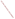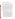## **ABSTRACT**

## **Why the Use Designation Process is not working in California Thomas R. Grovhoug, Vice President, Larry Walker Associates**

The water quality control planning process in the State of California has not been utilized to exercise the flexibility provided under the Clean Water Act and USEPA regulations to de-designate uses or to designate subcategories of uses. This has created problems in the implementation of the NPDES permitting program and the 303(d) listing effort.

In California, most designated uses were adopted in the original water quality control plans (in California known as "Basin Plans") developed under the 1972 Clean Water Act, typically in the 1975 time frame. The multiple uses which were designated in these Basin Plans ranged from "fishable" (warm and cold water habitat, commercial and sportfishing) and "swimmable" (water contact recreation) to a variety of other uses. Some of these uses were related to the "fishable" use (e.g. spawning, migration, estuarine habitat) and others related to other uses (municipal, agricultural or industrial supply, groundwater recharge, navigation, rare and endangered species habitat, non-water contact recreation, etc.). These uses have been broadly defined and are not directly related to numeric or narrative criteria, creating a problem in (a) the definition of existing uses, (b) the derivation of use subcategories, and (c) the application of use attainability procedures. The problem is best exemplified by the lack of activity in California in any of these areas.

We believe that policy statements are needed from the federal level to clarify how States (e.g. California) can and should adjust their existing planning procedures to accommodate flexibilities afforded under the use designation process. Specific direction in the following areas would be beneficial:

- (1) Clarification regarding the determination whether a use has been realized since 1975. We believe that the federal definition of water quality standards (uses plus criteria) points to the use of reliable and consistent criteria attainment as the fundamental basis for the existing use determination. In simple terms, we believe that water quality data and supporting information should be used, where available, to assess whether a use (i.e. an aquatic habitat which consistently meets USEPA criteria for numerous constituents) has existed in a water body since 1975. For instance, using the new federal mercury criterion as an example, we believe that the evaluation of existing fishing uses should include an assessment whether fish in a water body (e.g. largemouth bass) have consistently achieved the mercury tissue criterion level since 1975. If such consistent attainment has not occurred, we believe that the specific fishing use is not an existing use. In California, such an evaluation of criteria attainment is not presently used in this determination. [this addresses Question #1 in the Symposium announcement]
- (2) Clarification is also needed regarding the use of subcategories in the use designation arena. Following up on the example cited above, federal policy statements are needed to advise states that, where uses are not deemed to be